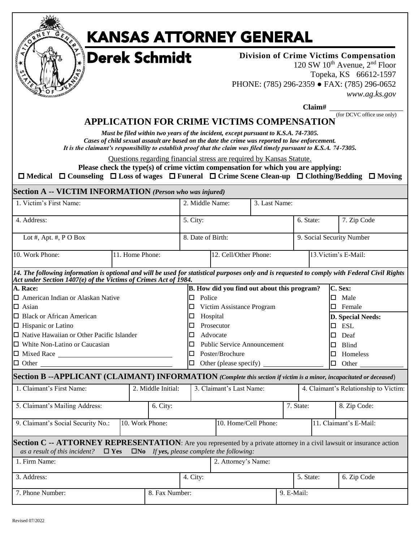|   | ۵ |   |
|---|---|---|
| ⊓ |   |   |
|   |   | a |

# KANSAS ATTORNEY GENERAL

Derek Schmidt

**Division of Crime Victims Compensation** 120 SW  $10^{th}$  Avenue,  $2^{nd}$  Floor Topeka, KS 66612-1597 PHONE: (785) 296-2359 **●** FAX: (785) 296-0652 *www.ag.ks.gov*

**Claim# \_**

#### (for DCVC office use only) **APPLICATION FOR CRIME VICTIMS COMPENSATION**

*Must be filed within two years of the incident, except pursuant to K.S.A. 74-7305. Cases of child sexual assault are based on the date the crime was reported to law enforcement. It is the claimant's responsibility to establish proof that the claim was filed timely pursuant to K.S.A. 74-7305.*

Questions regarding financial stress are required by Kansas Statute.

**Please check the type(s) of crime victim compensation for which you are applying:**

**Medical Counseling Loss of wages Funeral Crime Scene Clean-up Clothing/Bedding Moving**

|  |  |  |  | Section A -- VICTIM INFORMATION (Person who was injured) |
|--|--|--|--|----------------------------------------------------------|
|--|--|--|--|----------------------------------------------------------|

| 1. Victim's First Name:                                                                                                                                                                                          |               |                 |                    |                                                | 2. Middle Name:                         | 3. Last Name:                                       |  |  |                          |                           |                                       |  |  |
|------------------------------------------------------------------------------------------------------------------------------------------------------------------------------------------------------------------|---------------|-----------------|--------------------|------------------------------------------------|-----------------------------------------|-----------------------------------------------------|--|--|--------------------------|---------------------------|---------------------------------------|--|--|
| 4. Address:                                                                                                                                                                                                      |               |                 |                    |                                                | 5. City:                                |                                                     |  |  |                          | 6. State:                 | 7. Zip Code                           |  |  |
| Lot #, Apt. #, $P O Box$                                                                                                                                                                                         |               |                 |                    |                                                | 8. Date of Birth:                       |                                                     |  |  |                          | 9. Social Security Number |                                       |  |  |
| 10. Work Phone:                                                                                                                                                                                                  |               | 11. Home Phone: |                    |                                                | 12. Cell/Other Phone:                   |                                                     |  |  |                          | 13. Victim's E-Mail:      |                                       |  |  |
| 14. The following information is optional and will be used for statistical purposes only and is requested to comply with Federal Civil Rights<br>Act under Section 1407(e) of the Victims of Crimes Act of 1984. |               |                 |                    |                                                |                                         |                                                     |  |  |                          |                           |                                       |  |  |
| A. Race:                                                                                                                                                                                                         |               |                 |                    |                                                |                                         | B. How did you find out about this program?         |  |  |                          |                           | C. Sex:                               |  |  |
| $\Box$ American Indian or Alaskan Native                                                                                                                                                                         |               |                 |                    |                                                | $\Box$ Police                           |                                                     |  |  |                          |                           | $\square$ Male                        |  |  |
| $\Box$ Asian                                                                                                                                                                                                     |               |                 |                    |                                                | 0                                       | Victim Assistance Program                           |  |  |                          |                           | $\square$ Female                      |  |  |
| $\Box$ Black or African American                                                                                                                                                                                 |               |                 |                    |                                                | $\Box$                                  | Hospital                                            |  |  |                          |                           | <b>D. Special Needs:</b>              |  |  |
| $\Box$ Hispanic or Latino                                                                                                                                                                                        |               |                 |                    |                                                | Prosecutor<br>□                         |                                                     |  |  |                          |                           | 0<br><b>ESL</b>                       |  |  |
| $\Box$ Native Hawaiian or Other Pacific Islander                                                                                                                                                                 |               |                 |                    | Advocate<br>□                                  |                                         |                                                     |  |  |                          | Deaf<br>IП                |                                       |  |  |
| $\Box$ White Non-Latino or Caucasian                                                                                                                                                                             |               |                 |                    |                                                | <b>Public Service Announcement</b><br>O |                                                     |  |  |                          |                           | <b>Blind</b><br>Ю                     |  |  |
| $\Box$ Mixed Race $\Box$                                                                                                                                                                                         |               |                 |                    |                                                | Poster/Brochure<br>0                    |                                                     |  |  |                          |                           | Homeless<br>D                         |  |  |
|                                                                                                                                                                                                                  |               |                 |                    | Other (please specify)<br>Other<br>O<br>$\Box$ |                                         |                                                     |  |  |                          |                           |                                       |  |  |
| Section B --APPLICANT (CLAIMANT) INFORMATION (Complete this section if victim is a minor, incapacitated or deceased)                                                                                             |               |                 |                    |                                                |                                         |                                                     |  |  |                          |                           |                                       |  |  |
| 1. Claimant's First Name:                                                                                                                                                                                        |               |                 | 2. Middle Initial: |                                                |                                         | 3. Claimant's Last Name:                            |  |  |                          |                           | 4. Claimant's Relationship to Victim: |  |  |
| 5. Claimant's Mailing Address:                                                                                                                                                                                   |               |                 | 6. City:           |                                                |                                         |                                                     |  |  | 7. State:                |                           | 8. Zip Code:                          |  |  |
| 9. Claimant's Social Security No.:                                                                                                                                                                               |               |                 | 10. Work Phone:    |                                                |                                         | 10. Home/Cell Phone:                                |  |  |                          |                           | 11. Claimant's E-Mail:                |  |  |
| Section C -- ATTORNEY REPRESENTATION: Are you represented by a private attorney in a civil lawsuit or insurance action<br>as a result of this incident?                                                          | $\square$ Yes |                 |                    |                                                |                                         | $\square$ No If yes, please complete the following: |  |  |                          |                           |                                       |  |  |
| 1. Firm Name:                                                                                                                                                                                                    |               |                 |                    |                                                |                                         | 2. Attorney's Name:                                 |  |  |                          |                           |                                       |  |  |
| 3. Address:                                                                                                                                                                                                      |               |                 |                    |                                                | 4. City:                                |                                                     |  |  | 5. State:<br>6. Zip Code |                           |                                       |  |  |
| 7. Phone Number:<br>8. Fax Number:                                                                                                                                                                               |               |                 |                    |                                                |                                         |                                                     |  |  | 9. E-Mail:               |                           |                                       |  |  |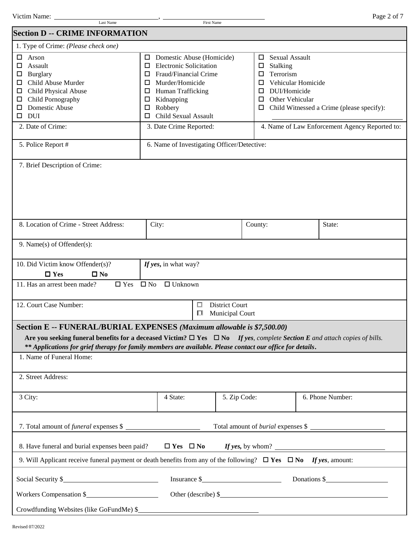| Victim Name:<br>Page. |
|-----------------------|
|-----------------------|

| Last Name                                                                                                                                                                                                                                                                                                                                                                     |                                                                                                                                                                                                                            | First Name                                         |                                                                                                                                                 |                                           |  |  |  |  |
|-------------------------------------------------------------------------------------------------------------------------------------------------------------------------------------------------------------------------------------------------------------------------------------------------------------------------------------------------------------------------------|----------------------------------------------------------------------------------------------------------------------------------------------------------------------------------------------------------------------------|----------------------------------------------------|-------------------------------------------------------------------------------------------------------------------------------------------------|-------------------------------------------|--|--|--|--|
| <b>Section D -- CRIME INFORMATION</b>                                                                                                                                                                                                                                                                                                                                         |                                                                                                                                                                                                                            |                                                    |                                                                                                                                                 |                                           |  |  |  |  |
| 1. Type of Crime: (Please check one)                                                                                                                                                                                                                                                                                                                                          |                                                                                                                                                                                                                            |                                                    |                                                                                                                                                 |                                           |  |  |  |  |
| □<br>Arson<br>Assault<br>□<br>Burglary<br>□<br>Child Abuse Murder<br>□<br>Child Physical Abuse<br>□<br>Child Pornography<br>□<br>Domestic Abuse<br>□<br><b>DUI</b><br>□                                                                                                                                                                                                       | Domestic Abuse (Homicide)<br>□<br><b>Electronic Solicitation</b><br>□<br>Fraud/Financial Crime<br>$\Box$<br>Murder/Homicide<br>□<br>Human Trafficking<br>Ц<br>Kidnapping<br>Ц<br>Robbery<br>□<br>Child Sexual Assault<br>□ |                                                    | <b>Sexual Assault</b><br>□<br>Stalking<br>□<br>Terrorism<br>□<br>Vehicular Homicide<br>□<br>DUI/Homicide<br>□<br>Other Vehicular<br>□<br>$\Box$ | Child Witnessed a Crime (please specify): |  |  |  |  |
| 2. Date of Crime:                                                                                                                                                                                                                                                                                                                                                             | 4. Name of Law Enforcement Agency Reported to:<br>3. Date Crime Reported:                                                                                                                                                  |                                                    |                                                                                                                                                 |                                           |  |  |  |  |
| 5. Police Report #                                                                                                                                                                                                                                                                                                                                                            | 6. Name of Investigating Officer/Detective:                                                                                                                                                                                |                                                    |                                                                                                                                                 |                                           |  |  |  |  |
| 7. Brief Description of Crime:                                                                                                                                                                                                                                                                                                                                                |                                                                                                                                                                                                                            |                                                    |                                                                                                                                                 |                                           |  |  |  |  |
| 8. Location of Crime - Street Address:                                                                                                                                                                                                                                                                                                                                        | City:                                                                                                                                                                                                                      |                                                    | County:                                                                                                                                         | State:                                    |  |  |  |  |
| 9. Name(s) of Offender(s):                                                                                                                                                                                                                                                                                                                                                    |                                                                                                                                                                                                                            |                                                    |                                                                                                                                                 |                                           |  |  |  |  |
| 10. Did Victim know Offender(s)?<br>$\square$ Yes<br>$\square$ No<br>$\Box$ Yes<br>11. Has an arrest been made?                                                                                                                                                                                                                                                               | If yes, in what way?<br>$\Box$ Unknown<br>$\square$ No                                                                                                                                                                     |                                                    |                                                                                                                                                 |                                           |  |  |  |  |
|                                                                                                                                                                                                                                                                                                                                                                               |                                                                                                                                                                                                                            |                                                    |                                                                                                                                                 |                                           |  |  |  |  |
| 12. Court Case Number:<br><b>District Court</b><br>□<br><b>Municipal Court</b><br>◻                                                                                                                                                                                                                                                                                           |                                                                                                                                                                                                                            |                                                    |                                                                                                                                                 |                                           |  |  |  |  |
| Section E -- FUNERAL/BURIAL EXPENSES (Maximum allowable is \$7,500.00)<br>Are you seeking funeral benefits for a deceased Victim? $\Box$ Yes $\Box$ No If yes, complete Section E and attach copies of bills.<br>** Applications for grief therapy for family members are available. Please contact our office for details.<br>1. Name of Funeral Home:<br>2. Street Address: |                                                                                                                                                                                                                            |                                                    |                                                                                                                                                 |                                           |  |  |  |  |
| 3 City:                                                                                                                                                                                                                                                                                                                                                                       | 4 State:                                                                                                                                                                                                                   | 5. Zip Code:                                       |                                                                                                                                                 | 6. Phone Number:                          |  |  |  |  |
| 7. Total amount of <i>funeral</i> expenses \$<br>Total amount of <i>burial</i> expenses \$                                                                                                                                                                                                                                                                                    |                                                                                                                                                                                                                            |                                                    |                                                                                                                                                 |                                           |  |  |  |  |
| 8. Have funeral and burial expenses been paid?                                                                                                                                                                                                                                                                                                                                |                                                                                                                                                                                                                            |                                                    |                                                                                                                                                 | $\Box$ Yes $\Box$ No If yes, by whom?     |  |  |  |  |
| 9. Will Applicant receive funeral payment or death benefits from any of the following? $\Box$ Yes $\Box$ No If yes, amount:                                                                                                                                                                                                                                                   |                                                                                                                                                                                                                            |                                                    |                                                                                                                                                 |                                           |  |  |  |  |
| Social Security \$                                                                                                                                                                                                                                                                                                                                                            |                                                                                                                                                                                                                            | Insurance $\frac{\S_{\text{max}}}{\S_{\text{max}}$ |                                                                                                                                                 | Donations \$                              |  |  |  |  |
| Workers Compensation \$                                                                                                                                                                                                                                                                                                                                                       |                                                                                                                                                                                                                            |                                                    |                                                                                                                                                 | Other (describe) $\$                      |  |  |  |  |
| Crowdfunding Websites (like GoFundMe) \$                                                                                                                                                                                                                                                                                                                                      |                                                                                                                                                                                                                            |                                                    |                                                                                                                                                 |                                           |  |  |  |  |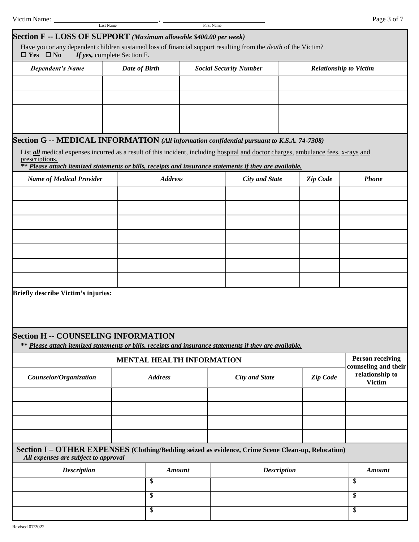| Victim Name:                                                                                                                                                                                                                                                                                                                                                         | Last Name                   |                                  |                               | First Name |                       |                    |          | Page 3 of 7                                     |
|----------------------------------------------------------------------------------------------------------------------------------------------------------------------------------------------------------------------------------------------------------------------------------------------------------------------------------------------------------------------|-----------------------------|----------------------------------|-------------------------------|------------|-----------------------|--------------------|----------|-------------------------------------------------|
| Section F -- LOSS OF SUPPORT (Maximum allowable \$400.00 per week)<br>Have you or any dependent children sustained loss of financial support resulting from the <i>death</i> of the Victim?<br>$\Box$ Yes $\Box$ No                                                                                                                                                  | If yes, complete Section F. |                                  |                               |            |                       |                    |          |                                                 |
| <b>Dependent's Name</b>                                                                                                                                                                                                                                                                                                                                              | Date of Birth               |                                  | <b>Social Security Number</b> |            |                       |                    |          | <b>Relationship to Victim</b>                   |
|                                                                                                                                                                                                                                                                                                                                                                      |                             |                                  |                               |            |                       |                    |          |                                                 |
|                                                                                                                                                                                                                                                                                                                                                                      |                             |                                  |                               |            |                       |                    |          |                                                 |
|                                                                                                                                                                                                                                                                                                                                                                      |                             |                                  |                               |            |                       |                    |          |                                                 |
|                                                                                                                                                                                                                                                                                                                                                                      |                             |                                  |                               |            |                       |                    |          |                                                 |
| Section G -- MEDICAL INFORMATION (All information confidential pursuant to K.S.A. 74-7308)<br>List <i>all</i> medical expenses incurred as a result of this incident, including hospital and doctor charges, ambulance fees, x-rays and<br>prescriptions.<br>** Please attach itemized statements or bills, receipts and insurance statements if they are available. |                             |                                  |                               |            |                       |                    |          |                                                 |
| <b>Name of Medical Provider</b>                                                                                                                                                                                                                                                                                                                                      |                             | <b>Address</b>                   |                               |            | <b>City and State</b> |                    | Zip Code | <b>Phone</b>                                    |
|                                                                                                                                                                                                                                                                                                                                                                      |                             |                                  |                               |            |                       |                    |          |                                                 |
|                                                                                                                                                                                                                                                                                                                                                                      |                             |                                  |                               |            |                       |                    |          |                                                 |
|                                                                                                                                                                                                                                                                                                                                                                      |                             |                                  |                               |            |                       |                    |          |                                                 |
|                                                                                                                                                                                                                                                                                                                                                                      |                             |                                  |                               |            |                       |                    |          |                                                 |
|                                                                                                                                                                                                                                                                                                                                                                      |                             |                                  |                               |            |                       |                    |          |                                                 |
|                                                                                                                                                                                                                                                                                                                                                                      |                             |                                  |                               |            |                       |                    |          |                                                 |
|                                                                                                                                                                                                                                                                                                                                                                      |                             |                                  |                               |            |                       |                    |          |                                                 |
| Briefly describe Victim's injuries:                                                                                                                                                                                                                                                                                                                                  |                             |                                  |                               |            |                       |                    |          |                                                 |
| <b>Section H -- COUNSELING INFORMATION</b><br>** Please attach itemized statements or bills, receipts and insurance statements if they are available.                                                                                                                                                                                                                |                             |                                  |                               |            |                       |                    |          |                                                 |
|                                                                                                                                                                                                                                                                                                                                                                      |                             | <b>MENTAL HEALTH INFORMATION</b> |                               |            |                       |                    |          | <b>Person receiving</b><br>counseling and their |
| Counselor/Organization                                                                                                                                                                                                                                                                                                                                               |                             | <b>Address</b>                   |                               |            | <b>City and State</b> |                    | Zip Code | relationship to<br><b>Victim</b>                |
|                                                                                                                                                                                                                                                                                                                                                                      |                             |                                  |                               |            |                       |                    |          |                                                 |
|                                                                                                                                                                                                                                                                                                                                                                      |                             |                                  |                               |            |                       |                    |          |                                                 |
|                                                                                                                                                                                                                                                                                                                                                                      |                             |                                  |                               |            |                       |                    |          |                                                 |
| Section I - OTHER EXPENSES (Clothing/Bedding seized as evidence, Crime Scene Clean-up, Relocation)<br>All expenses are subject to approval                                                                                                                                                                                                                           |                             |                                  |                               |            |                       |                    |          |                                                 |
| <b>Description</b>                                                                                                                                                                                                                                                                                                                                                   |                             | <b>Amount</b>                    |                               |            |                       | <b>Description</b> |          | <b>Amount</b>                                   |
|                                                                                                                                                                                                                                                                                                                                                                      |                             | \$                               |                               |            |                       |                    |          | \$                                              |
|                                                                                                                                                                                                                                                                                                                                                                      |                             | \$                               |                               |            |                       |                    |          | \$                                              |
| $\overline{\mathcal{S}}$                                                                                                                                                                                                                                                                                                                                             |                             |                                  |                               |            |                       |                    |          | $\overline{\mathcal{S}}$                        |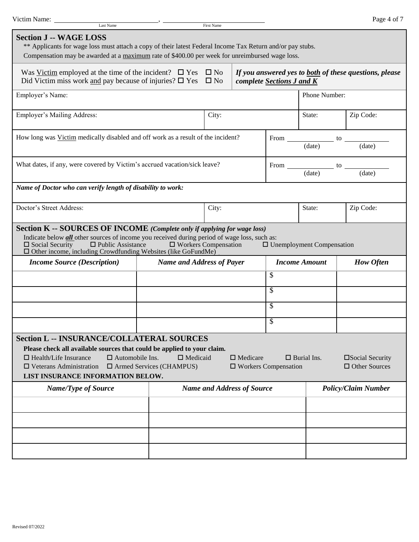| Victim Name:<br>Last Name                                                                                                                                                                                                                                                                                     |                                                    | First Name |                                                |                           |                                  | Page 4 of 7                                                   |
|---------------------------------------------------------------------------------------------------------------------------------------------------------------------------------------------------------------------------------------------------------------------------------------------------------------|----------------------------------------------------|------------|------------------------------------------------|---------------------------|----------------------------------|---------------------------------------------------------------|
| <b>Section J -- WAGE LOSS</b><br>** Applicants for wage loss must attach a copy of their latest Federal Income Tax Return and/or pay stubs.<br>Compensation may be awarded at a maximum rate of \$400.00 per week for unreimbursed wage loss.                                                                 |                                                    |            |                                                |                           |                                  |                                                               |
| Was <u>Victim</u> employed at the time of the incident? $\Box$ Yes $\Box$ No<br>Did Victim miss work and pay because of injuries? $\square$ Yes $\square$ No                                                                                                                                                  |                                                    |            |                                                | complete Sections J and K |                                  | If you answered yes to <b>both</b> of these questions, please |
| Employer's Name:                                                                                                                                                                                                                                                                                              |                                                    |            |                                                |                           | Phone Number:                    |                                                               |
| Employer's Mailing Address:                                                                                                                                                                                                                                                                                   |                                                    | City:      |                                                |                           | State:                           | Zip Code:                                                     |
| How long was Victim medically disabled and off work as a result of the incident?                                                                                                                                                                                                                              |                                                    |            |                                                |                           |                                  | (data)                                                        |
| What dates, if any, were covered by Victim's accrued vacation/sick leave?                                                                                                                                                                                                                                     |                                                    |            |                                                |                           |                                  | From $\frac{}{\text{(date)}}$ to $\frac{}{\text{(date)}}$     |
| Name of Doctor who can verify length of disability to work:                                                                                                                                                                                                                                                   |                                                    |            |                                                |                           |                                  |                                                               |
| Doctor's Street Address:                                                                                                                                                                                                                                                                                      |                                                    | City:      |                                                |                           | State:                           | Zip Code:                                                     |
| Section K -- SOURCES OF INCOME (Complete only if applying for wage loss)<br>Indicate below <b>all</b> other sources of income you received during period of wage loss, such as:<br>$\Box$ Public Assistance<br>$\Box$ Social Security<br>$\Box$ Other income, including Crowdfunding Websites (like GoFundMe) | $\Box$ Workers Compensation                        |            |                                                |                           | $\Box$ Unemployment Compensation |                                                               |
| <b>Income Source (Description)</b>                                                                                                                                                                                                                                                                            | <b>Name and Address of Payer</b>                   |            |                                                | $\overline{\mathbb{S}}$   | <b>Income Amount</b>             | <b>How Often</b>                                              |
|                                                                                                                                                                                                                                                                                                               |                                                    |            |                                                | \$                        |                                  |                                                               |
|                                                                                                                                                                                                                                                                                                               |                                                    |            |                                                | \$                        |                                  |                                                               |
|                                                                                                                                                                                                                                                                                                               |                                                    |            |                                                | \$                        |                                  |                                                               |
| <b>Section L -- INSURANCE/COLLATERAL SOURCES</b><br>Please check all available sources that could be applied to your claim.<br>$\Box$ Automobile Ins.<br>$\Box$ Health/Life Insurance<br>$\Box$ Veterans Administration<br>LIST INSURANCE INFORMATION BELOW.                                                  | $\Box$ Medicaid<br>$\Box$ Armed Services (CHAMPUS) |            | $\Box$ Medicare<br>$\Box$ Workers Compensation |                           | $\Box$ Burial Ins.               | □Social Security<br>$\Box$ Other Sources                      |
| <b>Name/Type of Source</b>                                                                                                                                                                                                                                                                                    |                                                    |            | <b>Name and Address of Source</b>              |                           |                                  | <b>Policy/Claim Number</b>                                    |
|                                                                                                                                                                                                                                                                                                               |                                                    |            |                                                |                           |                                  |                                                               |
|                                                                                                                                                                                                                                                                                                               |                                                    |            |                                                |                           |                                  |                                                               |
|                                                                                                                                                                                                                                                                                                               |                                                    |            |                                                |                           |                                  |                                                               |
|                                                                                                                                                                                                                                                                                                               |                                                    |            |                                                |                           |                                  |                                                               |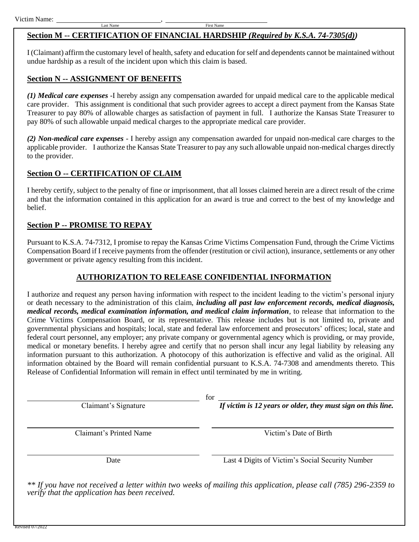## **Section M -- CERTIFICATION OF FINANCIAL HARDSHIP** *(Required by K.S.A. 74-7305(d))*

I (Claimant) affirm the customary level of health, safety and education for self and dependents cannot be maintained without undue hardship as a result of the incident upon which this claim is based.

## **Section N -- ASSIGNMENT OF BENEFITS**

*(1) Medical care expenses* -I hereby assign any compensation awarded for unpaid medical care to the applicable medical care provider. This assignment is conditional that such provider agrees to accept a direct payment from the Kansas State Treasurer to pay 80% of allowable charges as satisfaction of payment in full. I authorize the Kansas State Treasurer to pay 80% of such allowable unpaid medical charges to the appropriate medical care provider.

*(2) Non-medical care expenses* - I hereby assign any compensation awarded for unpaid non-medical care charges to the applicable provider. I authorize the Kansas State Treasurer to pay any such allowable unpaid non-medical charges directly to the provider.

## **Section O -- CERTIFICATION OF CLAIM**

I hereby certify, subject to the penalty of fine or imprisonment, that all losses claimed herein are a direct result of the crime and that the information contained in this application for an award is true and correct to the best of my knowledge and belief.

## **Section P -- PROMISE TO REPAY**

Pursuant to K.S.A. 74-7312, I promise to repay the Kansas Crime Victims Compensation Fund, through the Crime Victims Compensation Board if I receive payments from the offender (restitution or civil action), insurance, settlements or any other government or private agency resulting from this incident.

## **AUTHORIZATION TO RELEASE CONFIDENTIAL INFORMATION**

I authorize and request any person having information with respect to the incident leading to the victim's personal injury or death necessary to the administration of this claim, *including all past law enforcement records, medical diagnosis, medical records, medical examination information, and medical claim information*, to release that information to the Crime Victims Compensation Board, or its representative. This release includes but is not limited to, private and governmental physicians and hospitals; local, state and federal law enforcement and prosecutors' offices; local, state and federal court personnel, any employer; any private company or governmental agency which is providing, or may provide, medical or monetary benefits. I hereby agree and certify that no person shall incur any legal liability by releasing any information pursuant to this authorization. A photocopy of this authorization is effective and valid as the original. All information obtained by the Board will remain confidential pursuant to K.S.A. 74-7308 and amendments thereto. This Release of Confidential Information will remain in effect until terminated by me in writing.

for

Claimant's Signature *If victim is 12 years or older, they must sign on this line*.

Claimant's Printed Name Victim's Date of Birth

Date Last 4 Digits of Victim's Social Security Number

*\*\* If you have not received a letter within two weeks of mailing this application, please call (785) 296-2359 to verify that the application has been received.*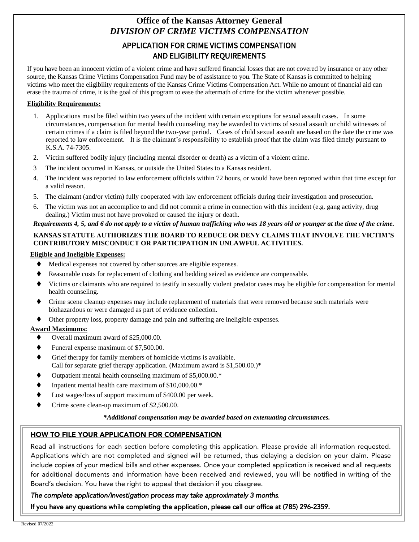### **Office of the Kansas Attorney General** *DIVISION OF CRIME VICTIMS COMPENSATION*

### APPLICATION FOR CRIME VICTIMS COMPENSATION AND ELIGIBILITY REQUIREMENTS

If you have been an innocent victim of a violent crime and have suffered financial losses that are not covered by insurance or any other source, the Kansas Crime Victims Compensation Fund may be of assistance to you. The State of Kansas is committed to helping victims who meet the eligibility requirements of the Kansas Crime Victims Compensation Act. While no amount of financial aid can erase the trauma of crime, it is the goal of this program to ease the aftermath of crime for the victim whenever possible.

#### **Eligibility Requirements:**

- 1. Applications must be filed within two years of the incident with certain exceptions for sexual assault cases. In some circumstances, compensation for mental health counseling may be awarded to victims of sexual assault or child witnesses of certain crimes if a claim is filed beyond the two-year period. Cases of child sexual assault are based on the date the crime was reported to law enforcement. It is the claimant's responsibility to establish proof that the claim was filed timely pursuant to K.S.A. 74-7305.
- 2. Victim suffered bodily injury (including mental disorder or death) as a victim of a violent crime.
- 3 The incident occurred in Kansas, or outside the United States to a Kansas resident.
- 4. The incident was reported to law enforcement officials within 72 hours, or would have been reported within that time except for a valid reason.
- 5. The claimant (and/or victim) fully cooperated with law enforcement officials during their investigation and prosecution.
- 6. The victim was not an accomplice to and did not commit a crime in connection with this incident (e.g. gang activity, drug dealing.) Victim must not have provoked or caused the injury or death.

#### *Requirements 4, 5, and 6 do not apply to a victim of human trafficking who was 18 years old or younger at the time of the crime.*

#### **KANSAS STATUTE AUTHORIZES THE BOARD TO REDUCE OR DENY CLAIMS THAT INVOLVE THE VICTIM'S CONTRIBUTORY MISCONDUCT OR PARTICIPATION IN UNLAWFUL ACTIVITIES.**

#### **Eligible and Ineligible Expenses:**

- Medical expenses not covered by other sources are eligible expenses.
- Reasonable costs for replacement of clothing and bedding seized as evidence are compensable.
- Victims or claimants who are required to testify in sexually violent predator cases may be eligible for compensation for mental health counseling.
- Crime scene cleanup expenses may include replacement of materials that were removed because such materials were biohazardous or were damaged as part of evidence collection.
- Other property loss, property damage and pain and suffering are ineligible expenses.

#### **Award Maximums:**

- Overall maximum award of \$25,000.00.
- Funeral expense maximum of \$7,500.00.
- Grief therapy for family members of homicide victims is available. Call for separate grief therapy application. (Maximum award is  $$1,500.00$ .)\*
- Outpatient mental health counseling maximum of \$5,000.00.\*
- Inpatient mental health care maximum of \$10,000.00.\*
- Lost wages/loss of support maximum of \$400.00 per week.
- Crime scene clean-up maximum of \$2,500.00.

#### *\*Additional compensation may be awarded based on extenuating circumstances.*

#### HOW TO FILE YOUR APPLICATION FOR COMPENSATION

Read all instructions for each section before completing this application. Please provide all information requested. Applications which are not completed and signed will be returned, thus delaying a decision on your claim. Please include copies of your medical bills and other expenses. Once your completed application is received and all requests for additional documents and information have been received and reviewed, you will be notified in writing of the Board's decision. You have the right to appeal that decision if you disagree.

## *The complete application/investigation process may take approximately 3 months.*

If you have any questions while completing the application, please call our office at (785) 296-2359.